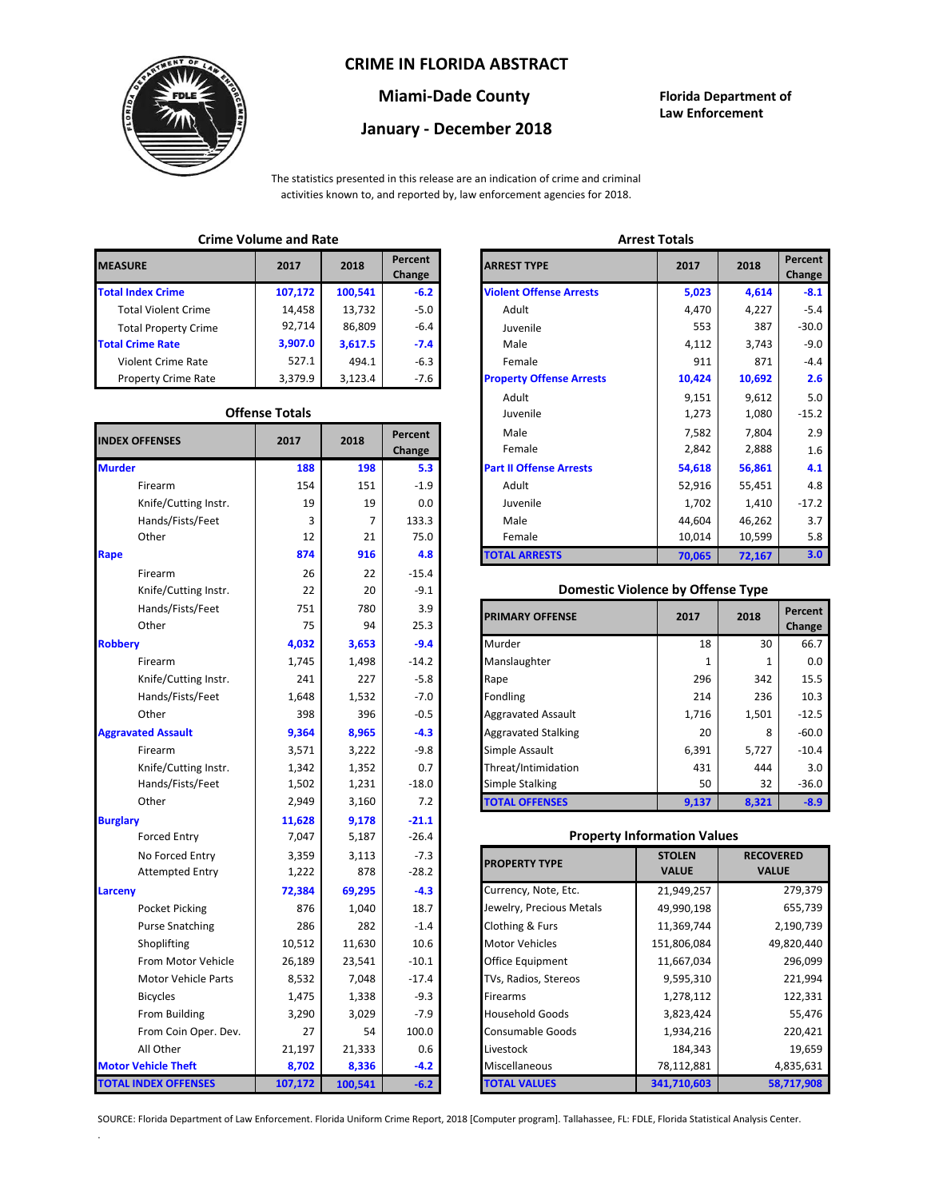### **CRIME IN FLORIDA ABSTRACT**



## **Miami-Dade County Florida Department of**

# **January - December 2018**

**Law Enforcement**

The statistics presented in this release are an indication of crime and criminal activities known to, and reported by, law enforcement agencies for 2018.

## **Crime Volume and Rate Arrest Totals**

| <b>MEASURE</b>              | 2017    | 2018    | Percent<br>Change | <b>ARREST TYPE</b>             |
|-----------------------------|---------|---------|-------------------|--------------------------------|
| <b>Total Index Crime</b>    | 107,172 | 100,541 | $-6.2$            | <b>Violent Offense Arrests</b> |
| <b>Total Violent Crime</b>  | 14.458  | 13,732  | $-5.0$            | Adult                          |
| <b>Total Property Crime</b> | 92,714  | 86,809  | $-6.4$            | Juvenile                       |
| <b>Total Crime Rate</b>     | 3,907.0 | 3,617.5 | $-7.4$            | Male                           |
| Violent Crime Rate          | 527.1   | 494.1   | $-6.3$            | Female                         |
| <b>Property Crime Rate</b>  | 3,379.9 | 3,123.4 | -7.6              | <b>Property Offense Arrest</b> |

#### **Offense Totals**

| <b>INDEX OFFENSES</b>       | 2017    | 2018    | Percent<br>Change | Male<br>Female                           | 7,804<br>7,582<br>2,842<br>2,888 |                  | 2.9<br>1.6 |
|-----------------------------|---------|---------|-------------------|------------------------------------------|----------------------------------|------------------|------------|
| <b>Murder</b>               | 188     | 198     | 5.3               | <b>Part II Offense Arrests</b>           | 54,618                           | 56,861           | 4.1        |
| Firearm                     | 154     | 151     | $-1.9$            | Adult                                    | 52,916                           | 55,451           | 4.8        |
| Knife/Cutting Instr.        | 19      | 19      | 0.0               | Juvenile                                 | 1,702                            | 1,410            | $-17.2$    |
| Hands/Fists/Feet            | 3       | 7       | 133.3             | Male                                     | 44,604                           | 46,262           | 3.7        |
| Other                       | 12      | 21      | 75.0              | Female                                   | 10,014                           | 10,599           | 5.8        |
| Rape                        | 874     | 916     | 4.8               | <b>TOTAL ARRESTS</b>                     | 70,065                           | 72,167           | 3.0        |
| Firearm                     | 26      | 22      | $-15.4$           |                                          |                                  |                  |            |
| Knife/Cutting Instr.        | 22      | 20      | $-9.1$            | <b>Domestic Violence by Offense Type</b> |                                  |                  |            |
| Hands/Fists/Feet            | 751     | 780     | 3.9               |                                          |                                  |                  | Percent    |
| Other                       | 75      | 94      | 25.3              | <b>PRIMARY OFFENSE</b>                   | 2017                             | 2018             | Change     |
| <b>Robbery</b>              | 4,032   | 3,653   | $-9.4$            | Murder                                   | 18                               | 30               | 66.7       |
| Firearm                     | 1,745   | 1,498   | $-14.2$           | Manslaughter                             | 1                                | $\mathbf{1}$     | 0.0        |
| Knife/Cutting Instr.        | 241     | 227     | $-5.8$            | Rape                                     | 296                              | 342              | 15.5       |
| Hands/Fists/Feet            | 1,648   | 1,532   | $-7.0$            | Fondling                                 | 214                              | 236              | 10.3       |
| Other                       | 398     | 396     | $-0.5$            | <b>Aggravated Assault</b>                | 1,716                            | 1,501            | $-12.5$    |
| <b>Aggravated Assault</b>   | 9,364   | 8,965   | $-4.3$            | <b>Aggravated Stalking</b>               | 20                               | 8                | $-60.0$    |
| Firearm                     | 3,571   | 3,222   | $-9.8$            | Simple Assault                           | 6,391                            | 5,727            | $-10.4$    |
| Knife/Cutting Instr.        | 1,342   | 1,352   | 0.7               | Threat/Intimidation                      | 431                              | 444              | 3.0        |
| Hands/Fists/Feet            | 1,502   | 1,231   | $-18.0$           | Simple Stalking                          | 50                               | 32               | $-36.0$    |
| Other                       | 2,949   | 3,160   | 7.2               | <b>TOTAL OFFENSES</b>                    | 9,137                            | 8,321            | $-8.9$     |
| <b>Burglary</b>             | 11,628  | 9,178   | $-21.1$           |                                          |                                  |                  |            |
| <b>Forced Entry</b>         | 7,047   | 5,187   | $-26.4$           | <b>Property Information Values</b>       |                                  |                  |            |
| No Forced Entry             | 3,359   | 3,113   | $-7.3$            |                                          | <b>STOLEN</b>                    | <b>RECOVERED</b> |            |
| <b>Attempted Entry</b>      | 1,222   | 878     | $-28.2$           | <b>PROPERTY TYPE</b>                     | <b>VALUE</b>                     | <b>VALUE</b>     |            |
| Larceny                     | 72,384  | 69,295  | $-4.3$            | Currency, Note, Etc.                     | 21,949,257                       |                  | 279,379    |
| Pocket Picking              | 876     | 1,040   | 18.7              | Jewelry, Precious Metals                 | 49,990,198                       |                  | 655,739    |
| <b>Purse Snatching</b>      | 286     | 282     | $-1.4$            | <b>Clothing &amp; Furs</b>               | 11,369,744                       |                  | 2,190,739  |
| Shoplifting                 | 10,512  | 11,630  | 10.6              | <b>Motor Vehicles</b>                    | 151,806,084                      |                  | 49,820,440 |
| From Motor Vehicle          | 26,189  | 23,541  | $-10.1$           | Office Equipment                         | 11,667,034                       |                  | 296,099    |
| <b>Motor Vehicle Parts</b>  | 8,532   | 7,048   | $-17.4$           | TVs, Radios, Stereos                     | 9,595,310                        |                  | 221,994    |
| <b>Bicycles</b>             | 1,475   | 1,338   | $-9.3$            | Firearms                                 | 1,278,112                        |                  | 122,331    |
| From Building               | 3,290   | 3,029   | $-7.9$            | <b>Household Goods</b>                   | 3,823,424                        | 55,476           |            |
| From Coin Oper. Dev.        | 27      | 54      | 100.0             | Consumable Goods                         | 1,934,216                        |                  | 220,421    |
| All Other                   | 21,197  | 21,333  | 0.6               | Livestock                                | 184,343                          |                  | 19,659     |
| <b>Motor Vehicle Theft</b>  | 8,702   | 8,336   | $-4.2$            | Miscellaneous                            | 78,112,881                       |                  | 4,835,631  |
| <b>TOTAL INDEX OFFENSES</b> | 107,172 | 100,541 | $-6.2$            | <b>TOTAL VALUES</b>                      | 341,710,603                      |                  | 58,717,908 |

.

| CHILLE VOIDING AND INSIG |                       |         |                   | AU COL IVIGIO                   |        |        |                   |
|--------------------------|-----------------------|---------|-------------------|---------------------------------|--------|--------|-------------------|
| RΕ                       | 2017                  | 2018    | Percent<br>Change | <b>ARREST TYPE</b>              | 2017   | 2018   | Percent<br>Change |
| dex Crime                | 107,172               | 100,541 | $-6.2$            | <b>Violent Offense Arrests</b>  | 5,023  | 4,614  | $-8.1$            |
| ıl Violent Crime         | 14,458                | 13,732  | $-5.0$            | Adult                           | 4,470  | 4,227  | $-5.4$            |
| Il Property Crime        | 92,714                | 86,809  | $-6.4$            | Juvenile                        | 553    | 387    | $-30.0$           |
| me Rate                  | 3,907.0               | 3,617.5 | $-7.4$            | Male                            | 4,112  | 3,743  | $-9.0$            |
| ent Crime Rate           | 527.1                 | 494.1   | $-6.3$            | Female                          | 911    | 871    | $-4.4$            |
| erty Crime Rate          | 3,379.9               | 3,123.4 | -7.6              | <b>Property Offense Arrests</b> | 10,424 | 10,692 | 2.6               |
|                          |                       |         |                   | Adult                           | 9,151  | 9,612  | 5.0               |
|                          | <b>Offense Totals</b> |         |                   | Juvenile                        | 1,273  | 1,080  | $-15.2$           |
| <b>FFENSES</b>           | 2017                  | 2018    | Percent           | Male                            | 7,582  | 7,804  | 2.9               |
|                          |                       |         | Change            | Female                          | 2,842  | 2,888  | 1.6               |
|                          | 188                   | 198     | 5.3               | <b>Part II Offense Arrests</b>  | 54,618 | 56,861 | 4.1               |
| Firearm                  | 154                   | 151     | $-1.9$            | Adult                           | 52,916 | 55,451 | 4.8               |
| Knife/Cutting Instr.     | 19                    | 19      | 0.0               | Juvenile                        | 1,702  | 1,410  | $-17.2$           |
| Hands/Fists/Feet         | 3                     | 7       | 133.3             | Male                            | 44,604 | 46,262 | 3.7               |
| Other                    | 12                    | 21      | 75.0              | Female                          | 10,014 | 10,599 | 5.8               |
|                          | 874                   | 916     | 4.8               | <b>TOTAL ARRESTS</b>            | 70,065 | 72,167 | 3.0               |
|                          |                       |         |                   |                                 |        |        |                   |

#### **Domestic Violence by Offense Type**

| Hands/Fists/Feet<br>Other | 751<br>75 | 780<br>94 | 3.9<br>25.3 | <b>PRIMARY OFFENSE</b>     | 2017  | 2018  | Percent<br>Change |
|---------------------------|-----------|-----------|-------------|----------------------------|-------|-------|-------------------|
|                           | 4,032     | 3,653     | $-9.4$      | Murder                     | 18    | 30    | 66.7              |
| Firearm                   | 1,745     | 1,498     | $-14.2$     | Manslaughter               |       |       | 0.0               |
| Knife/Cutting Instr.      | 241       | 227       | $-5.8$      | Rape                       | 296   | 342   | 15.5              |
| Hands/Fists/Feet          | 1,648     | 1,532     | $-7.0$      | Fondling                   | 214   | 236   | 10.3              |
| Other                     | 398       | 396       | $-0.5$      | <b>Aggravated Assault</b>  | 1,716 | 1,501 | $-12.5$           |
| ted Assault               | 9,364     | 8,965     | $-4.3$      | <b>Aggravated Stalking</b> | 20    | 8     | $-60.0$           |
| Firearm                   | 3,571     | 3,222     | $-9.8$      | Simple Assault             | 6,391 | 5,727 | $-10.4$           |
| Knife/Cutting Instr.      | 1,342     | 1,352     | 0.7         | Threat/Intimidation        | 431   | 444   | 3.0 <sub>2</sub>  |
| Hands/Fists/Feet          | 1,502     | 1,231     | $-18.0$     | Simple Stalking            | 50    | 32    | $-36.0$           |
| Other                     | 2,949     | 3,160     | 7.2         | <b>TOTAL OFFENSES</b>      | 9,137 | 8,321 | $-8.9$            |

#### **Property Information Values**

| 3,359  | 3,113   | $-7.3$  | <b>PROPERTY TYPE</b>     | <b>STOLEN</b> | <b>RECOVERED</b> |
|--------|---------|---------|--------------------------|---------------|------------------|
| 1,222  | 878     | $-28.2$ |                          | <b>VALUE</b>  | <b>VALUE</b>     |
| 72,384 | 69,295  | $-4.3$  | Currency, Note, Etc.     | 21,949,257    | 279,379          |
| 876    | 1,040   | 18.7    | Jewelry, Precious Metals | 49,990,198    | 655,739          |
| 286    | 282     | $-1.4$  | Clothing & Furs          | 11,369,744    | 2,190,739        |
| 10,512 | 11,630  | 10.6    | <b>Motor Vehicles</b>    | 151,806,084   | 49,820,440       |
| 26,189 | 23,541  | $-10.1$ | Office Equipment         | 11,667,034    | 296,099          |
| 8,532  | 7,048   | $-17.4$ | TVs, Radios, Stereos     | 9,595,310     | 221,994          |
| 1,475  | 1,338   | $-9.3$  | <b>Firearms</b>          | 1,278,112     | 122,331          |
| 3,290  | 3,029   | $-7.9$  | <b>Household Goods</b>   | 3,823,424     | 55,476           |
| 27     | 54      | 100.0   | <b>Consumable Goods</b>  | 1,934,216     | 220,421          |
| 21,197 | 21,333  | 0.6     | Livestock                | 184,343       | 19,659           |
| 8,702  | 8,336   | $-4.2$  | Miscellaneous            | 78,112,881    | 4,835,631        |
| 07,172 | 100,541 | $-6.2$  | <b>TOTAL VALUES</b>      | 341,710,603   | 58,717,908       |

SOURCE: Florida Department of Law Enforcement. Florida Uniform Crime Report, 2018 [Computer program]. Tallahassee, FL: FDLE, Florida Statistical Analysis Center.